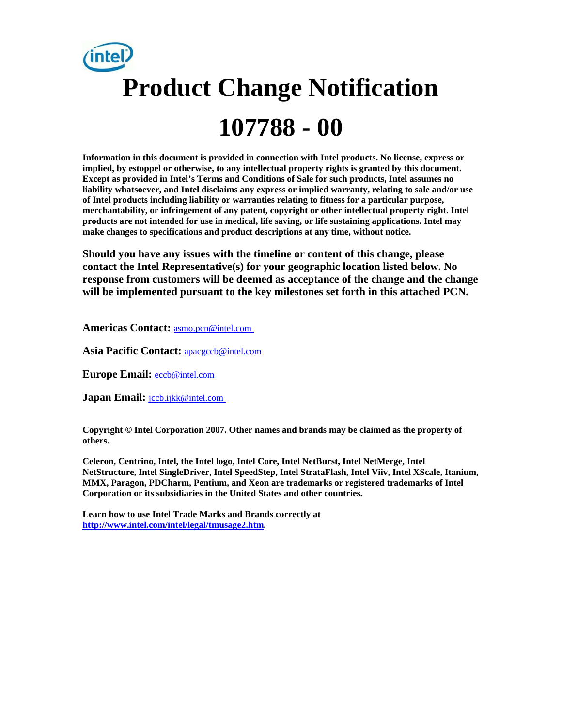# **Product Change Notification 107788 - 00**

**Information in this document is provided in connection with Intel products. No license, express or implied, by estoppel or otherwise, to any intellectual property rights is granted by this document. Except as provided in Intel's Terms and Conditions of Sale for such products, Intel assumes no liability whatsoever, and Intel disclaims any express or implied warranty, relating to sale and/or use of Intel products including liability or warranties relating to fitness for a particular purpose, merchantability, or infringement of any patent, copyright or other intellectual property right. Intel products are not intended for use in medical, life saving, or life sustaining applications. Intel may make changes to specifications and product descriptions at any time, without notice.** 

**Should you have any issues with the timeline or content of this change, please contact the Intel Representative(s) for your geographic location listed below. No response from customers will be deemed as acceptance of the change and the change will be implemented pursuant to the key milestones set forth in this attached PCN.** 

**Americas Contact:** [asmo.pcn@intel.com](mailto:asmo.pcn@intel.com) 

**Asia Pacific Contact:** [apacgccb@intel.com](mailto:apacgccb@intel.com) 

**Europe Email:** [eccb@intel.com](mailto:eccb@intel.com) 

**Japan Email: jccb.ijkk@intel.com** 

**Copyright © Intel Corporation 2007. Other names and brands may be claimed as the property of others.**

**Celeron, Centrino, Intel, the Intel logo, Intel Core, Intel NetBurst, Intel NetMerge, Intel NetStructure, Intel SingleDriver, Intel SpeedStep, Intel StrataFlash, Intel Viiv, Intel XScale, Itanium, MMX, Paragon, PDCharm, Pentium, and Xeon are trademarks or registered trademarks of Intel Corporation or its subsidiaries in the United States and other countries.** 

**Learn how to use Intel Trade Marks and Brands correctly at [http://www.intel.com/intel/legal/tmusage2.htm.](http://www.intel.com/intel/legal/tmusage2.htm)**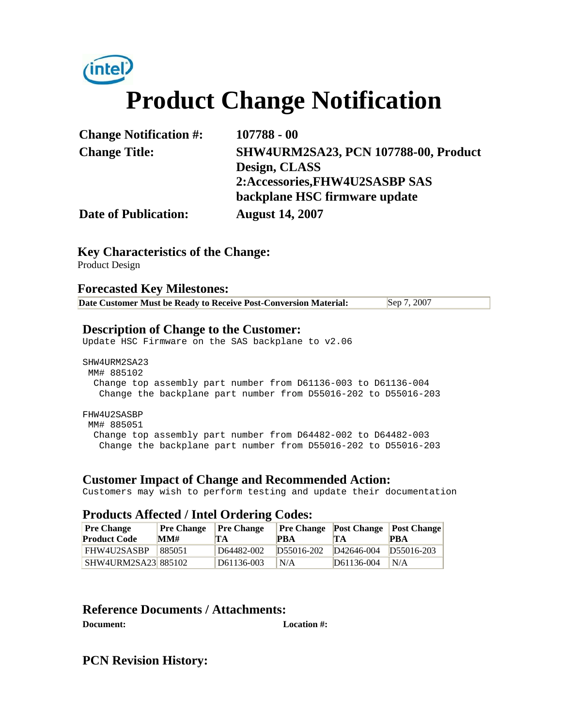

| <b>Change Notification #:</b> | $107788 - 00$                               |
|-------------------------------|---------------------------------------------|
| <b>Change Title:</b>          | <b>SHW4URM2SA23, PCN 107788-00, Product</b> |
|                               | Design, CLASS                               |
|                               | 2:Accessories, FHW4U2SASBP SAS              |
|                               | backplane HSC firmware update               |
| <b>Date of Publication:</b>   | <b>August 14, 2007</b>                      |

### **Key Characteristics of the Change:**

Product Design

#### **Forecasted Key Milestones:**

| Date Customer Must be Ready to Receive Post-Conversion Material: | Sep 7, 2007 |
|------------------------------------------------------------------|-------------|
|------------------------------------------------------------------|-------------|

### **Description of Change to the Customer:**

Update HSC Firmware on the SAS backplane to v2.06

SHW4URM2SA23 MM# 885102 Change top assembly part number from D61136-003 to D61136-004 Change the backplane part number from D55016-202 to D55016-203 FHW4U2SASBP

 MM# 885051 Change top assembly part number from D64482-002 to D64482-003 Change the backplane part number from D55016-202 to D55016-203

# **Customer Impact of Change and Recommended Action:**

Customers may wish to perform testing and update their documentation

#### **Products Affected / Intel Ordering Codes:**

| <b>Pre Change</b><br><b>Product Code</b> | <b>Pre Change</b><br>MM# | <b>Pre Change</b><br><b>TA</b> | PBA        | <b>Pre Change</b> Post Change Post Change<br>TA | <b>PBA</b> |
|------------------------------------------|--------------------------|--------------------------------|------------|-------------------------------------------------|------------|
| FHW4U2SASBP                              | 885051                   | D64482-002                     | D55016-202 | D <sub>42646</sub> -004 D <sub>55016</sub> -203 |            |
| <b>SHW4URM2SA23 885102</b>               |                          | D61136-003                     | N/A        | D61136-004                                      | N/A        |

# **Reference Documents / Attachments:**

**Document: Location #:**

**PCN Revision History:**